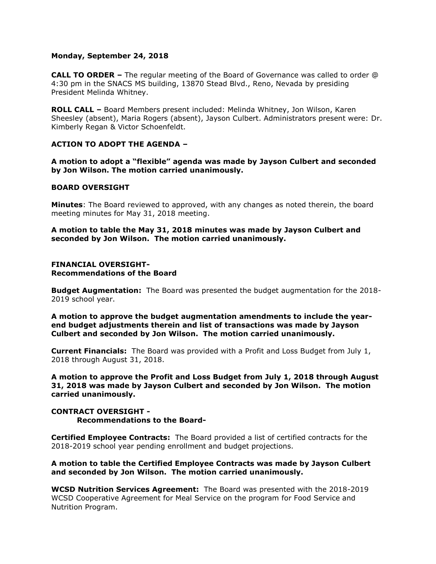## **Monday, September 24, 2018**

**CALL TO ORDER –** The regular meeting of the Board of Governance was called to order @ 4:30 pm in the SNACS MS building, 13870 Stead Blvd., Reno, Nevada by presiding President Melinda Whitney.

**ROLL CALL –** Board Members present included: Melinda Whitney, Jon Wilson, Karen Sheesley (absent), Maria Rogers (absent), Jayson Culbert. Administrators present were: Dr. Kimberly Regan & Victor Schoenfeldt.

# **ACTION TO ADOPT THE AGENDA –**

**A motion to adopt a "flexible" agenda was made by Jayson Culbert and seconded by Jon Wilson. The motion carried unanimously.** 

## **BOARD OVERSIGHT**

**Minutes**: The Board reviewed to approved, with any changes as noted therein, the board meeting minutes for May 31, 2018 meeting.

**A motion to table the May 31, 2018 minutes was made by Jayson Culbert and seconded by Jon Wilson. The motion carried unanimously.**

#### **FINANCIAL OVERSIGHT-Recommendations of the Board**

**Budget Augmentation:** The Board was presented the budget augmentation for the 2018- 2019 school year.

**A motion to approve the budget augmentation amendments to include the yearend budget adjustments therein and list of transactions was made by Jayson Culbert and seconded by Jon Wilson. The motion carried unanimously.** 

**Current Financials:** The Board was provided with a Profit and Loss Budget from July 1, 2018 through August 31, 2018.

**A motion to approve the Profit and Loss Budget from July 1, 2018 through August 31, 2018 was made by Jayson Culbert and seconded by Jon Wilson. The motion carried unanimously.** 

**CONTRACT OVERSIGHT - Recommendations to the Board-**

**Certified Employee Contracts:** The Board provided a list of certified contracts for the 2018-2019 school year pending enrollment and budget projections.

**A motion to table the Certified Employee Contracts was made by Jayson Culbert and seconded by Jon Wilson. The motion carried unanimously.**

**WCSD Nutrition Services Agreement:** The Board was presented with the 2018-2019 WCSD Cooperative Agreement for Meal Service on the program for Food Service and Nutrition Program.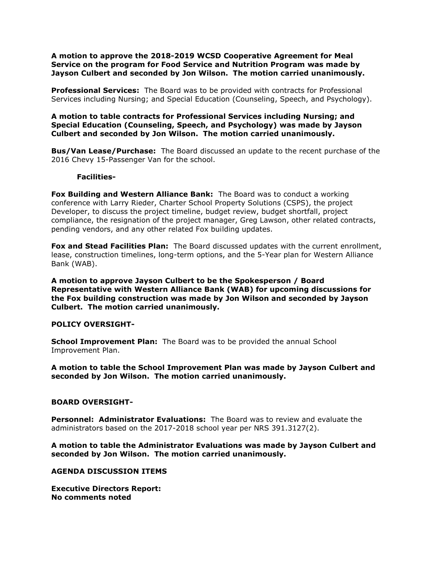**A motion to approve the 2018-2019 WCSD Cooperative Agreement for Meal Service on the program for Food Service and Nutrition Program was made by Jayson Culbert and seconded by Jon Wilson. The motion carried unanimously.**

**Professional Services:** The Board was to be provided with contracts for Professional Services including Nursing; and Special Education (Counseling, Speech, and Psychology).

# **A motion to table contracts for Professional Services including Nursing; and Special Education (Counseling, Speech, and Psychology) was made by Jayson Culbert and seconded by Jon Wilson. The motion carried unanimously.**

**Bus/Van Lease/Purchase:** The Board discussed an update to the recent purchase of the 2016 Chevy 15-Passenger Van for the school.

### **Facilities-**

**Fox Building and Western Alliance Bank:** The Board was to conduct a working conference with Larry Rieder, Charter School Property Solutions (CSPS), the project Developer, to discuss the project timeline, budget review, budget shortfall, project compliance, the resignation of the project manager, Greg Lawson, other related contracts, pending vendors, and any other related Fox building updates.

**Fox and Stead Facilities Plan:** The Board discussed updates with the current enrollment, lease, construction timelines, long-term options, and the 5-Year plan for Western Alliance Bank (WAB).

**A motion to approve Jayson Culbert to be the Spokesperson / Board Representative with Western Alliance Bank (WAB) for upcoming discussions for the Fox building construction was made by Jon Wilson and seconded by Jayson Culbert. The motion carried unanimously.** 

### **POLICY OVERSIGHT-**

**School Improvement Plan:** The Board was to be provided the annual School Improvement Plan.

**A motion to table the School Improvement Plan was made by Jayson Culbert and seconded by Jon Wilson. The motion carried unanimously.**

# **BOARD OVERSIGHT-**

**Personnel: Administrator Evaluations:** The Board was to review and evaluate the administrators based on the 2017-2018 school year per NRS 391.3127(2).

**A motion to table the Administrator Evaluations was made by Jayson Culbert and seconded by Jon Wilson. The motion carried unanimously.**

**AGENDA DISCUSSION ITEMS**

**Executive Directors Report: No comments noted**